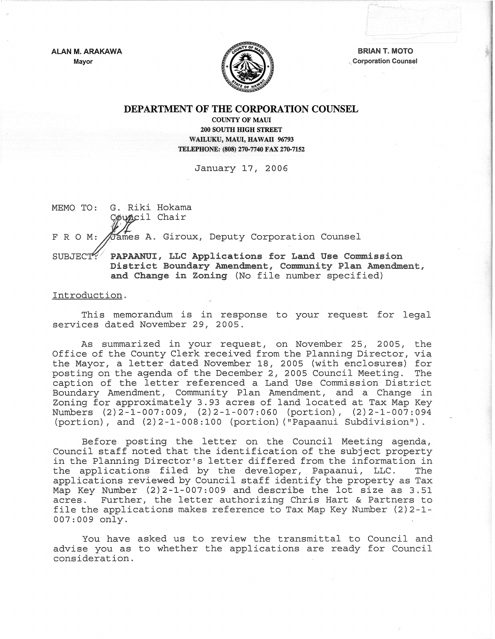

Mayor  $\|\sqrt{2\pi}\cdot\|$  Corporation Counsel

# DEPARTMENT OF THE CORPORATION COUNSEL

COUNTY OF MAUl 200 SOUTH mGH STREET WAILUKU, MAUI, HAWAII 96793 TELEPHONE: (808) 270-7740 FAX 270-7152

January 17, 2006

MEMO TO: G. Riki Hokama

Council Chair

 $\%$ ames A. Giroux, Deputy Corporation Counsel

FRO M:

SUBJECT: PAPAANUI, LLC Applications for Land Use Commission District Boundary Amendment, Community Plan Amendment, and Change in Zoning (No file number specified)

## Introduction.

This memorandum is in response to your request for legal services dated November 29, 2005.

As summarized in your request, on November 25, 2005, the Office of the County Clerk received from the Planning Director, via the Mayor, a letter dated November 18, 2005 (with enclosures) for posting on the agenda of the December 2, 2005 Council Meeting. The caption of the letter referenced a Land Use Commission District Boundary Amendment, Community Plan Amendment, and a Change in Zoning for approximately 3.93 acres of land located at Tax Map Key Numbers (2)2-1-007:009, (2)2-1-007:060 (portion), (2)2-1-007:094 (portion), and (2)2-1-008:100 (portion) ("Papaanui Subdivision").

Before posting the letter on the Council Meeting agenda, Council staff noted that the identification of the subject property in the Planning Director's letter differed from the information in<br>the applications filed by the developer, Papaanui, LLC. The the applications filed by the developer, Papaanui, LLC. applications reviewed by Council staff identify the property as Tax Map Key Number (2)2-1-007:009 and describe the lot size as 3.51 acres. Further, the letter authorizing Chris Hart & Partners to file the applications makes reference to Tax Map Key Number (2)2-1- 007:009 only.

You have asked us to review the transmittal to Council and advise you as to whether the applications are ready for Council consideration.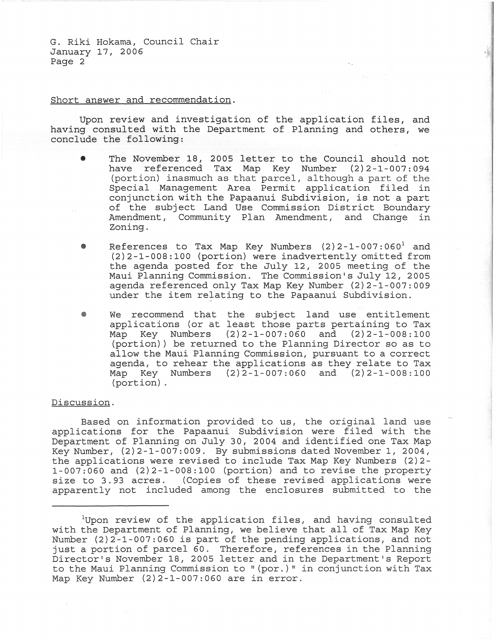G. Riki Hokama, Council Chair January 17, 2006 Page 2

## Short answer and recommendation.

Upon review and investigation of the application files, and having consulted with the Department of Planning and others, we conclude the following:

- The November 18, 2005 letter to the Council should not have referenced Tax Map Key Number (2)2-1-007:094  $(portion)$  inasmuch as that parcel, although a part of the Special Management Area Permit application filed in conjunction with the Papaanui Subdivision, is not a part of the subject Land Use Commission District Boundary Amendment, Community Plan Amendment, and Change in Zoning.
- References to Tax Map Key Numbers  $(2)$  2-1-007:060<sup>1</sup> and (2)2-1-008:100 (portion) were inadvertently omitted from the agenda posted for the July 12, 2005 meeting of the Maui Planning Commission. The Commission's July 12, 2005 agenda referenced only Tax Map Key Number (2)2-1-007:009 under the item relating to the Papaanui Subdivision.
- We recommend that the subject land use entitlement applications (or at least those parts pertaining to Tax<br>Map Key Numbers (2)2-1-007:060 and (2)2-1-008:100 Map Key Numbers (2)2-1-007:060 and (2)2-1-008:100 (portion)) be returned to the Planning Director so as to allow the Maui Planning Commission, pursuant to a correct agenda, to rehear the applications as they relate to Tax Map Key Numbers (2) 2-1-007: 060 and (2) 2-1-008: 100 (portion)

#### Discussion.

Based on information provided to us, the original land use applications for the Papaanui Subdivision were filed with the Department of Planning on July 30, 2004 and identified one Tax Map Key Number, (2)2-1-007:009. By submissions dated November 1, 2004, the applications were revised to include Tax Map Key Numbers (2)2- 1-007:060 and (2)2-1-008:100 (portion) and to revise the property size to 3.93 acres. (Copies of these revised applications were apparently not included among the enclosures submitted to the

<sup>&</sup>lt;sup>1</sup>Upon review of the application files, and having consulted with the Department of Planning, we believe that all of Tax Map Key Number  $(2)$  2-1-007:060 is part of the pending applications, and not just a portion of parcel 60. Therefore, references in the Planning Director's November 18, 2005 letter and in the Department's Report to the Maui Planning Commission to  $\sqrt{p}$  (por.)  $\sqrt{p}$  in conjunction with Tax Map Key Number (2)2-1-007:060 are in error.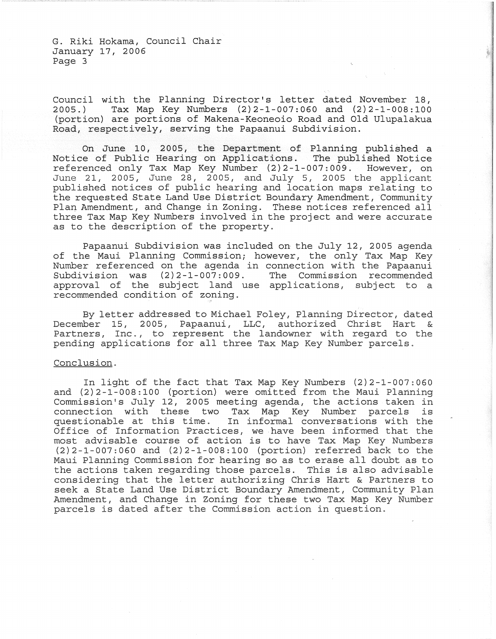G. Riki Hokama, Council Chair January 17, 2006 Page 3

Council with the Planning Director's letter dated November 18,<br>2005.) Tax Map Key Numbers  $(2)2-1-007:060$  and  $(2)2-1-008:100$ Tax Map Key Numbers  $(2)$  2-1-007: 060 and  $(2)$  2-1-008: 100 (portion) are portions of Makena-Keoneoio Road and Old Ulupalakua Road, respectively, serving the Papaanui Subdivision.

On June 10, 2005, the Department of Planning published a Notice of Public Hearing on Applications. The published Notice referenced only Tax Map Key Number (2)2-1-007:009. However, on June 21, 2005, June 28, 2005, and July 5, 2005 the applicant published notices of public hearing and location maps relating to the requested State Land Use District Boundary Amendment, Community Plan Amendment, and Change in Zoning. These notices referenced all three Tax Map Key Numbers involved in the project and were accurate as to the description of the property.

Papaanui Subdivision was included on the July 12, 2005 agenda of the Maui Planning Commission; however, the only Tax Map Key Number referenced on the agenda in connection with the Papaanui<br>Subdivision was  $(2)$ 2-1-007:009. The Commission recommended Subdivision was  $(2)$  2-1-007:009. approval of the subject land use applications, subject to a recommended condition of zoning.

By letter addressed to Michael Foley, Planning Director, dated<br>wher 15, 2005, Papaanui, LLC, authorized Christ Hart & December 15, 2005, Papaanui, LLC, authorized Christ Hart Partners, Inc., to represent the landowner with regard to the pending applications for all three Tax Map Key Number parcels.

# Conclusion.

In light of the fact that Tax Map Key Numbers (2)2-1-007:060 and (2)2-1-008:100 (portion) were omitted from the Maui Planning Commission's July 12, 2005 meeting agenda, the actions taken in connection with these two Tax Map Key Number parcels is questionable at this time. In informal conversations with the Office of Information Practices, we have been informed that the most advisable course of action is to have Tax Map Key Numbers (2)2-1-007:060 and (2)2-1-008:100 (portion) referred back to the Maui Planning Commission for hearing so as to erase all doubt as to the actions taken regarding those parcels. This is also advisable considering that the letter authorizing Chris Hart & Partners to seek a State Land Use District Boundary Amendment, Community Plan Amendment, and Change in Zoning for these two Tax Map Key Number parcels is dated after the Commission action in question.